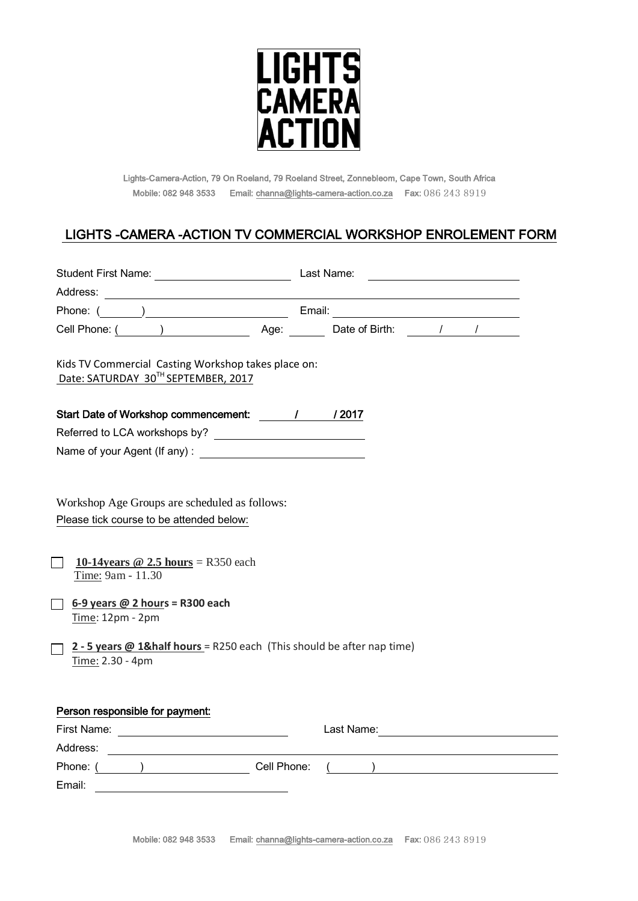

Lights-Camera-Action, 79 On Roeland, 79 Roeland Street, Zonnebleom, Cape Town, South Africa Mobile: 082 948 3533 Email[: channa@lights-camera-action.co.za](mailto:channa@lights-camera-action.co.za) Fax: 086 243 8919

# LIGHTS -CAMERA -ACTION TV COMMERCIAL WORKSHOP ENROLEMENT FORM

| <b>Student First Name:</b><br><u> 1980 - Johann Barbara, martxa a</u>                                                                                                                                                                                                                                                  | Last Name: |  |
|------------------------------------------------------------------------------------------------------------------------------------------------------------------------------------------------------------------------------------------------------------------------------------------------------------------------|------------|--|
| Address:                                                                                                                                                                                                                                                                                                               |            |  |
|                                                                                                                                                                                                                                                                                                                        |            |  |
|                                                                                                                                                                                                                                                                                                                        |            |  |
|                                                                                                                                                                                                                                                                                                                        |            |  |
| Kids TV Commercial Casting Workshop takes place on:<br>Date: SATURDAY 30TH SEPTEMBER, 2017                                                                                                                                                                                                                             |            |  |
|                                                                                                                                                                                                                                                                                                                        |            |  |
| Start Date of Workshop commencement: \\ \ \ \ \ \ \ \ \ 2017                                                                                                                                                                                                                                                           |            |  |
|                                                                                                                                                                                                                                                                                                                        |            |  |
|                                                                                                                                                                                                                                                                                                                        |            |  |
|                                                                                                                                                                                                                                                                                                                        |            |  |
| Workshop Age Groups are scheduled as follows:<br>Please tick course to be attended below:<br>10-14 years $\omega$ 2.5 hours = R350 each<br>Time: 9am - 11.30<br>$6-9$ years @ 2 hours = R300 each<br>Time: 12pm - 2pm<br>2 - 5 years $@$ 1& half hours = R250 each (This should be after nap time)<br>Time: 2.30 - 4pm |            |  |
|                                                                                                                                                                                                                                                                                                                        |            |  |
| Person responsible for payment:                                                                                                                                                                                                                                                                                        |            |  |
|                                                                                                                                                                                                                                                                                                                        |            |  |
| Address:<br><u> 1980 - Andrea Station Barbara, amerikan personal (h. 1980).</u>                                                                                                                                                                                                                                        |            |  |
| Phone: ( ) Cell Phone:                                                                                                                                                                                                                                                                                                 |            |  |
| Email: Email: Email: Particular Contract Contract Contract Contract Contract Contract Contract Contract Contract Contract Contract Contract Contract Contract Contract Contract Contract Contract Contract Contract Contract C                                                                                         |            |  |
|                                                                                                                                                                                                                                                                                                                        |            |  |